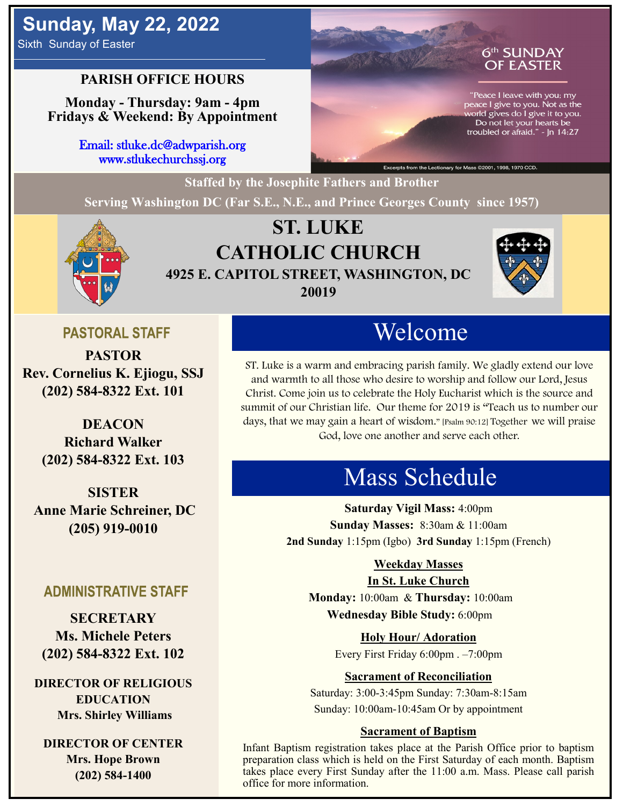# **Sunday, May 22, 2022**

Sixth Sunday of Easter

### **PARISH OFFICE HOURS**

**Monday - Thursday: 9am - 4pm Fridays & Weekend: By Appointment**

> Email: stluke.dc@adwparish.org www.stlukechurchssj.org

### 6th SUNDAY **OF EASTER**

"Peace I leave with you; my peace I give to you. Not as the world gives do I give it to you.<br>Do not let your hearts be troubled or afraid."  $\ln 14:27$ 

.<br>ry for Mass ©2001, 1998, 1970 CCD.

**Staffed by the Josephite Fathers and Brother**

**Serving Washington DC (Far S.E., N.E., and Prince Georges County since 1957)**



## **ST. LUKE CATHOLIC CHURCH 4925 E. CAPITOL STREET, WASHINGTON, DC 20019**



### **PASTORAL STAFF**

**PASTOR Rev. Cornelius K. Ejiogu, SSJ (202) 584-8322 Ext. 101**

> **DEACON Richard Walker (202) 584-8322 Ext. 103**

**SISTER Anne Marie Schreiner, DC (205) 919-0010**

### **ADMINISTRATIVE STAFF**

**SECRETARY Ms. Michele Peters (202) 584-8322 Ext. 102**

**DIRECTOR OF RELIGIOUS EDUCATION Mrs. Shirley Williams**

**DIRECTOR OF CENTER Mrs. Hope Brown (202) 584-1400**

# Welcome

ST. Luke is a warm and embracing parish family. We gladly extend our love and warmth to all those who desire to worship and follow our Lord, Jesus Christ. Come join us to celebrate the Holy Eucharist which is the source and summit of our Christian life. Our theme for 2019 is "Teach us to number our days, that we may gain a heart of wisdom." [Psalm 90:12] Together we will praise God, love one another and serve each other.

# Mass Schedule

**Saturday Vigil Mass:** 4:00pm **Sunday Masses:** 8:30am & 11:00am **2nd Sunday** 1:15pm (Igbo) **3rd Sunday** 1:15pm (French)

### **Weekday Masses**

### **In St. Luke Church**

**Monday:** 10:00am & **Thursday:** 10:00am **Wednesday Bible Study:** 6:00pm

**Holy Hour/ Adoration**

Every First Friday 6:00pm . –7:00pm

### **Sacrament of Reconciliation**

Saturday: 3:00-3:45pm Sunday: 7:30am-8:15am Sunday: 10:00am-10:45am Or by appointment

### **Sacrament of Baptism**

Infant Baptism registration takes place at the Parish Office prior to baptism preparation class which is held on the First Saturday of each month. Baptism takes place every First Sunday after the 11:00 a.m. Mass. Please call parish office for more information.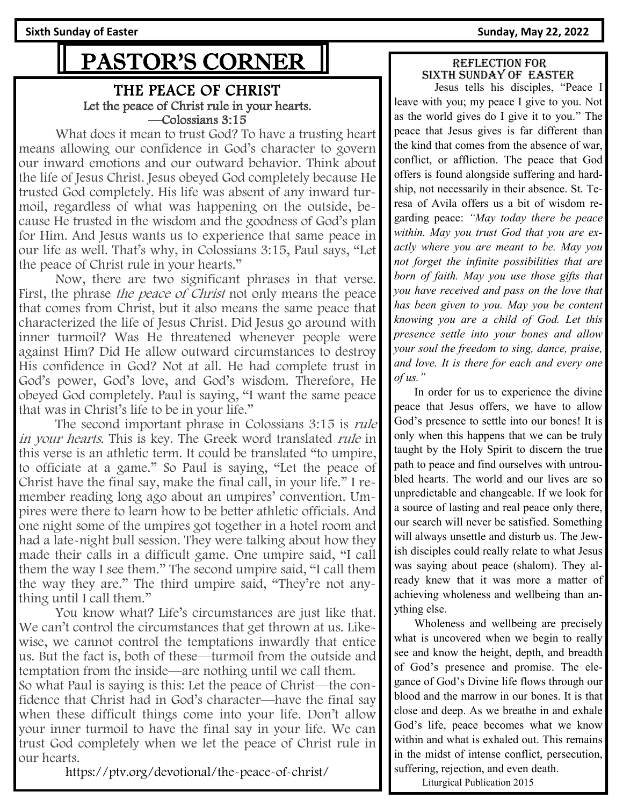# PASTOR'S CORNER

### THE PEACE OF CHRIST Let the peace of Christ rule in your hearts. —Colossians 3:15

What does it mean to trust God? To have a trusting heart means allowing our confidence in God's character to govern our inward emotions and our outward behavior. Think about the life of Jesus Christ. Jesus obeyed God completely because He trusted God completely. His life was absent of any inward turmoil, regardless of what was happening on the outside, because He trusted in the wisdom and the goodness of God's plan for Him. And Jesus wants us to experience that same peace in our life as well. That's why, in Colossians 3:15, Paul says, "Let the peace of Christ rule in your hearts."

Now, there are two significant phrases in that verse. First, the phrase *the peace of Christ* not only means the peace that comes from Christ, but it also means the same peace that characterized the life of Jesus Christ. Did Jesus go around with inner turmoil? Was He threatened whenever people were against Him? Did He allow outward circumstances to destroy His confidence in God? Not at all. He had complete trust in God's power, God's love, and God's wisdom. Therefore, He obeyed God completely. Paul is saying, "I want the same peace that was in Christ's life to be in your life."

The second important phrase in Colossians 3:15 is *rule* in your hearts. This is key. The Greek word translated rule in this verse is an athletic term. It could be translated "to umpire, to officiate at a game." So Paul is saying, "Let the peace of Christ have the final say, make the final call, in your life." I remember reading long ago about an umpires' convention. Umpires were there to learn how to be better athletic officials. And one night some of the umpires got together in a hotel room and had a late-night bull session. They were talking about how they made their calls in a difficult game. One umpire said, "I call them the way I see them." The second umpire said, "I call them the way they are." The third umpire said, "They're not anything until I call them."

You know what? Life's circumstances are just like that. We can't control the circumstances that get thrown at us. Likewise, we cannot control the temptations inwardly that entice us. But the fact is, both of these—turmoil from the outside and temptation from the inside—are nothing until we call them. So what Paul is saying is this: Let the peace of Christ—the confidence that Christ had in God's character—have the final say when these difficult things come into your life. Don't allow your inner turmoil to have the final say in your life. We can trust God completely when we let the peace of Christ rule in our hearts.

https://ptv.org/devotional/the-peace-of-christ/

#### Reflection for sixth SUNDAY OF easter

 Jesus tells his disciples, "Peace I leave with you; my peace I give to you. Not as the world gives do I give it to you." The peace that Jesus gives is far different than the kind that comes from the absence of war, conflict, or affliction. The peace that God offers is found alongside suffering and hardship, not necessarily in their absence. St. Teresa of Avila offers us a bit of wisdom regarding peace: *"May today there be peace within. May you trust God that you are exactly where you are meant to be. May you not forget the infinite possibilities that are born of faith. May you use those gifts that you have received and pass on the love that has been given to you. May you be content knowing you are a child of God. Let this presence settle into your bones and allow your soul the freedom to sing, dance, praise, and love. It is there for each and every one of us."*

 In order for us to experience the divine peace that Jesus offers, we have to allow God's presence to settle into our bones! It is only when this happens that we can be truly taught by the Holy Spirit to discern the true path to peace and find ourselves with untroubled hearts. The world and our lives are so unpredictable and changeable. If we look for a source of lasting and real peace only there, our search will never be satisfied. Something will always unsettle and disturb us. The Jewish disciples could really relate to what Jesus was saying about peace (shalom). They already knew that it was more a matter of achieving wholeness and wellbeing than anything else.

 Wholeness and wellbeing are precisely what is uncovered when we begin to really see and know the height, depth, and breadth of God's presence and promise. The elegance of God's Divine life flows through our blood and the marrow in our bones. It is that close and deep. As we breathe in and exhale God's life, peace becomes what we know within and what is exhaled out. This remains in the midst of intense conflict, persecution, suffering, rejection, and even death.

Liturgical Publication 2015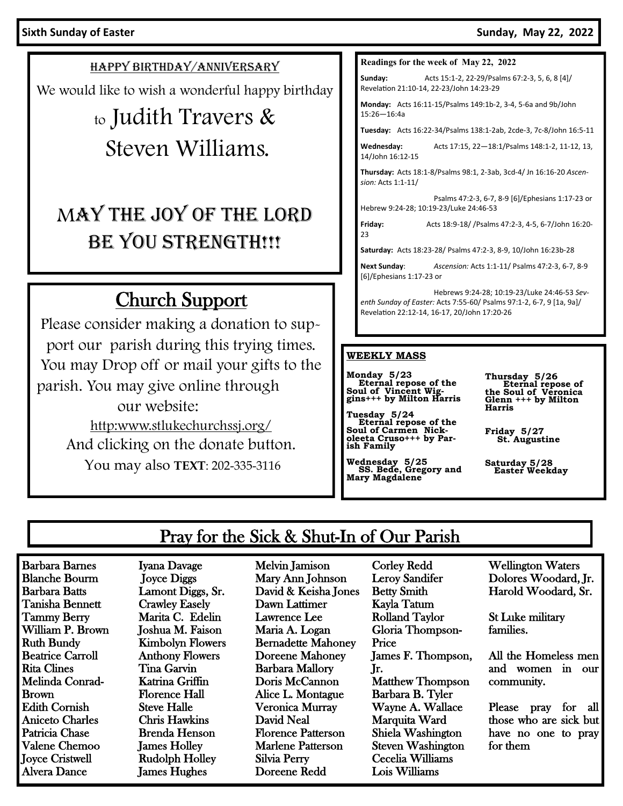HAPPY BIRTHDAY/ANNIVERSARY

We would like to wish a wonderful happy birthday

# to Judith Travers & Steven Williams.

# MAY THE JOY OF THE LORD BE YOU STRENGTH!!!

## Church Support

Please consider making a donation to support our parish during this trying times. You may Drop off or mail your gifts to the parish. You may give online through our website: http:www.stlukechurchssj.org/ And clicking on the donate button. You may also **TEXT**: 202-335-3116

#### **Readings for the week of May 22, 2022**

**Sunday:** Acts 15:1-2, 22-29/Psalms 67:2-3, 5, 6, 8 [4]/ Revelation 21:10-14, 22-23/John 14:23-29

**Monday:** Acts 16:11-15/Psalms 149:1b-2, 3-4, 5-6a and 9b/John 15:26—16:4a

**Tuesday:** Acts 16:22-34/Psalms 138:1-2ab, 2cde-3, 7c-8/John 16:5-11

**Wednesday:** Acts 17:15, 22—18:1/Psalms 148:1-2, 11-12, 13, 14/John 16:12-15

**Thursday:** Acts 18:1-8/Psalms 98:1, 2-3ab, 3cd-4/ Jn 16:16-20 *Ascension:* Acts 1:1-11/

Psalms 47:2-3, 6-7, 8-9 [6]/Ephesians 1:17-23 or Hebrew 9:24-28; 10:19-23/Luke 24:46-53

**Friday:** Acts 18:9-18/ /Psalms 47:2-3, 4-5, 6-7/John 16:20-  $23$ 

**Saturday:** Acts 18:23-28/ Psalms 47:2-3, 8-9, 10/John 16:23b-28

**Next Sunday**: *Ascension:* Acts 1:1-11/ Psalms 47:2-3, 6-7, 8-9 [6]/Ephesians 1:17-23 or

Hebrews 9:24-28; 10:19-23/Luke 24:46-53 *Seventh Sunday of Easter:* Acts 7:55-60/ Psalms 97:1-2, 6-7, 9 [1a, 9a]/ Revelation 22:12-14, 16-17, 20/John 17:20-26

#### **WEEKLY MASS**

**Monday 5/23 Eternal repose of the Soul of Vincent Wig-gins+++ by Milton Harris**

**Tuesday 5/24 Eternal repose of the Soul of Carmen Nick-oleeta Cruso+++ by Parish Family**

**Wednesday 5/25 SS. Bede, Gregory and Mary Magdalene**

**Thursday 5/26 Eternal repose of the Soul of Veronica Glenn +++ by Milton Harris** 

**Friday 5/27 St. Augustine**

**Saturday 5/28 Easter Weekday**

## Pray for the Sick & Shut-In of Our Parish

Barbara Barnes Blanche Bourm Barbara Batts Tanisha Bennett Tammy Berry William P. Brown Ruth Bundy Beatrice Carroll Rita Clines Melinda Conrad-Brown Edith Cornish Aniceto Charles Patricia Chase Valene Chemoo Joyce Cristwell Alvera Dance

Iyana Davage Joyce Diggs Lamont Diggs, Sr. Crawley Easely Marita C. Edelin Joshua M. Faison Kimbolyn Flowers Anthony Flowers Tina Garvin Katrina Griffin Florence Hall Steve Halle Chris Hawkins Brenda Henson James Holley Rudolph Holley James Hughes

Melvin Jamison Mary Ann Johnson David & Keisha Jones Dawn Lattimer Lawrence Lee Maria A. Logan Bernadette Mahoney Doreene Mahoney Barbara Mallory Doris McCannon Alice L. Montague Veronica Murray David Neal Florence Patterson Marlene Patterson Silvia Perry Doreene Redd

Corley Redd Leroy Sandifer Betty Smith Kayla Tatum Rolland Taylor Gloria Thompson-Price James F. Thompson, Jr. Matthew Thompson Barbara B. Tyler Wayne A. Wallace Marquita Ward Shiela Washington Steven Washington Cecelia Williams Lois Williams

Wellington Waters Dolores Woodard, Jr. Harold Woodard, Sr.

St Luke military families.

All the Homeless men and women in our community.

Please pray for all those who are sick but have no one to pray for them